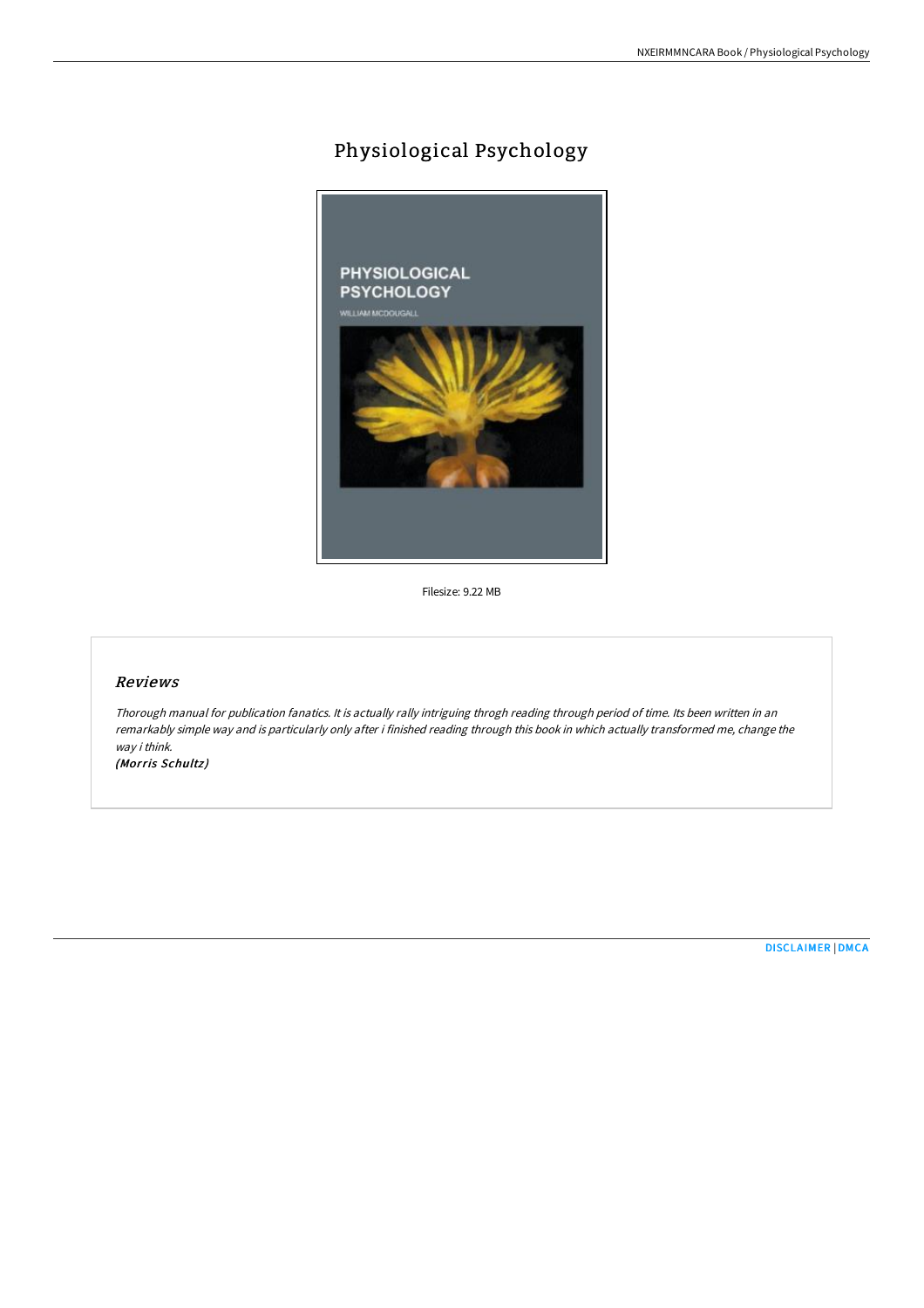## Physiological Psychology



Filesize: 9.22 MB

## Reviews

Thorough manual for publication fanatics. It is actually rally intriguing throgh reading through period of time. Its been written in an remarkably simple way and is particularly only after i finished reading through this book in which actually transformed me, change the way i think.

(Morris Schultz)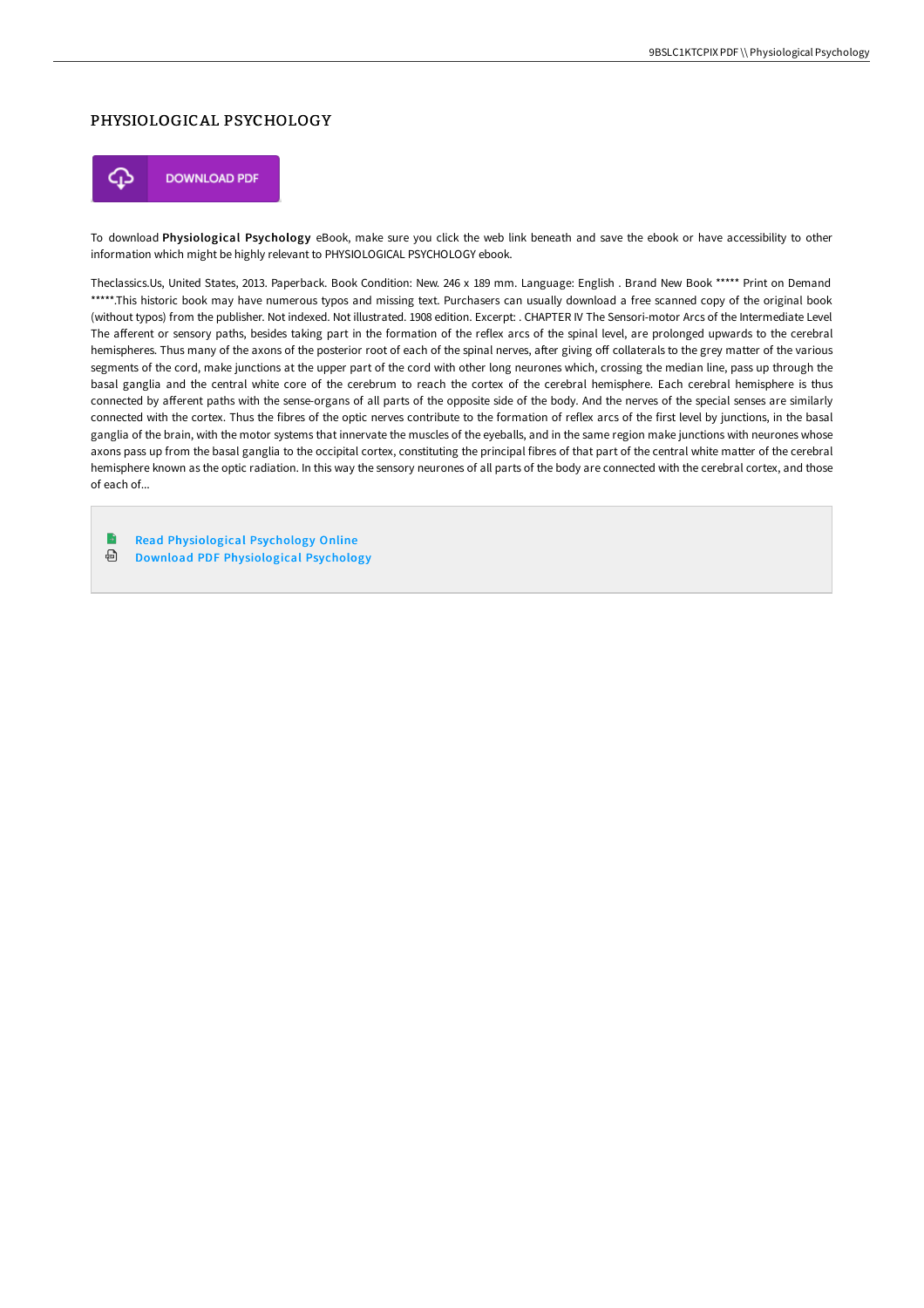## PHYSIOLOGICAL PSYCHOLOGY



To download Physiological Psychology eBook, make sure you click the web link beneath and save the ebook or have accessibility to other information which might be highly relevant to PHYSIOLOGICAL PSYCHOLOGY ebook.

Theclassics.Us, United States, 2013. Paperback. Book Condition: New. 246 x 189 mm. Language: English . Brand New Book \*\*\*\*\* Print on Demand \*\*\*\*\*.This historic book may have numerous typos and missing text. Purchasers can usually download a free scanned copy of the original book (without typos) from the publisher. Not indexed. Not illustrated. 1908 edition. Excerpt: . CHAPTER IV The Sensori-motor Arcs of the Intermediate Level The afferent or sensory paths, besides taking part in the formation of the reflex arcs of the spinal level, are prolonged upwards to the cerebral hemispheres. Thus many of the axons of the posterior root of each of the spinal nerves, after giving off collaterals to the grey matter of the various segments of the cord, make junctions at the upper part of the cord with other long neurones which, crossing the median line, pass up through the basal ganglia and the central white core of the cerebrum to reach the cortex of the cerebral hemisphere. Each cerebral hemisphere is thus connected by afferent paths with the sense-organs of all parts of the opposite side of the body. And the nerves of the special senses are similarly connected with the cortex. Thus the fibres of the optic nerves contribute to the formation of reflex arcs of the first level by junctions, in the basal ganglia of the brain, with the motor systems that innervate the muscles of the eyeballs, and in the same region make junctions with neurones whose axons pass up from the basal ganglia to the occipital cortex, constituting the principal fibres of that part of the central white matter of the cerebral hemisphere known as the optic radiation. In this way the sensory neurones of all parts of the body are connected with the cerebral cortex, and those of each of...

B Read [Physiological](http://www.bookdirs.com/physiological-psychology-paperback.html) Psychology Online ⊕ Download PDF [Physiological](http://www.bookdirs.com/physiological-psychology-paperback.html) Psychology